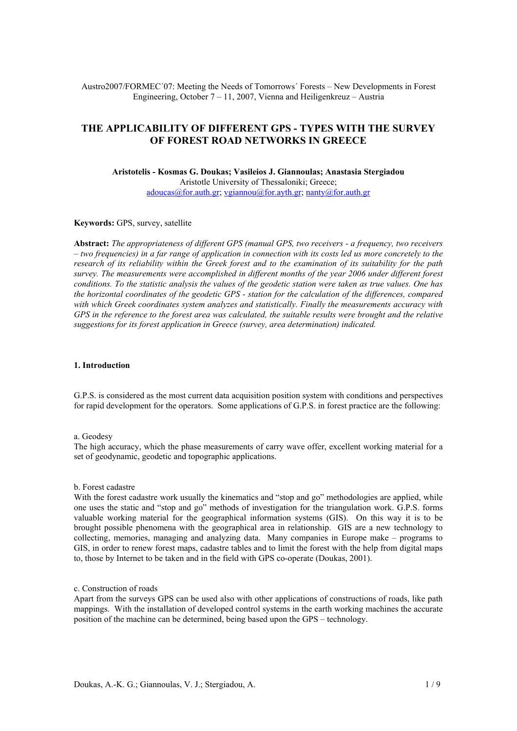Austro2007/FORMEC´07: Meeting the Needs of Tomorrows´ Forests – New Developments in Forest Engineering, October 7 – 11, 2007, Vienna and Heiligenkreuz – Austria

# **THE APPLICABILITY OF DIFFERENT GPS - TYPES WITH THE SURVEY OF FOREST ROAD NETWORKS IN GREECE**

**Aristotelis - Kosmas G. Doukas; Vasileios J. Giannoulas; Anastasia Stergiadou**  Aristotle University of Thessaloniki; Greece; [adoucas@for.auth.gr;](mailto:adoucas@for.auth.gr) [vgiannou@for.ayth.gr](mailto:vgiannou@for.ayth.gr); [nanty@for.auth.gr](mailto:nanty@for.auth.gr)

#### **Keywords:** GPS, survey, satellite

**Abstract:** *The appropriateness of different GPS (manual GPS, two receivers - a frequency, two receivers – two frequencies) in a far range of application in connection with its costs led us more concretely to the research of its reliability within the Greek forest and to the examination of its suitability for the path survey. The measurements were accomplished in different months of the year 2006 under different forest conditions. To the statistic analysis the values of the geodetic station were taken as true values. One has the horizontal coordinates of the geodetic GPS - station for the calculation of the differences, compared with which Greek coordinates system analyzes and statistically. Finally the measurements accuracy with GPS in the reference to the forest area was calculated, the suitable results were brought and the relative suggestions for its forest application in Greece (survey, area determination) indicated.* 

### **1. Introduction**

G.P.S. is considered as the most current data acquisition position system with conditions and perspectives for rapid development for the operators. Some applications of G.P.S. in forest practice are the following:

#### a. Geodesy

The high accuracy, which the phase measurements of carry wave offer, excellent working material for a set of geodynamic, geodetic and topographic applications.

#### b. Forest cadastre

With the forest cadastre work usually the kinematics and "stop and go" methodologies are applied, while one uses the static and "stop and go" methods of investigation for the triangulation work. G.P.S. forms valuable working material for the geographical information systems (GIS). On this way it is to be brought possible phenomena with the geographical area in relationship. GIS are a new technology to collecting, memories, managing and analyzing data. Many companies in Europe make – programs to GIS, in order to renew forest maps, cadastre tables and to limit the forest with the help from digital maps to, those by Internet to be taken and in the field with GPS co-operate (Doukas, 2001).

#### c. Construction of roads

Apart from the surveys GPS can be used also with other applications of constructions of roads, like path mappings. With the installation of developed control systems in the earth working machines the accurate position of the machine can be determined, being based upon the GPS – technology.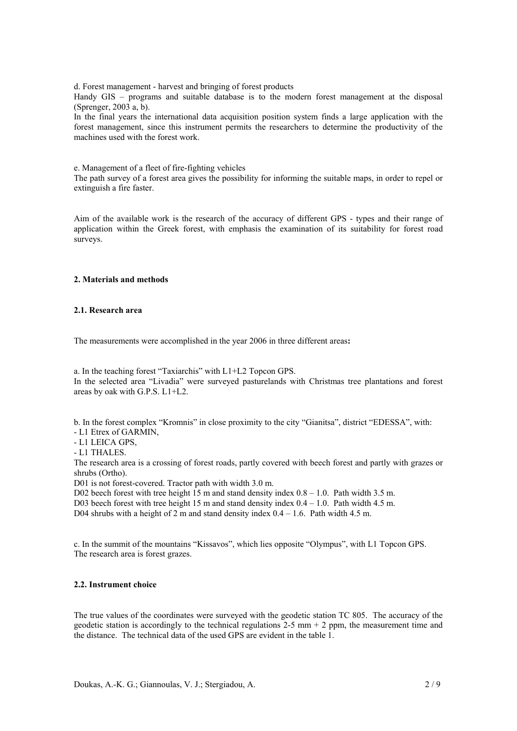d. Forest management - harvest and bringing of forest products

Handy GIS – programs and suitable database is to the modern forest management at the disposal (Sprenger, 2003 a, b).

In the final years the international data acquisition position system finds a large application with the forest management, since this instrument permits the researchers to determine the productivity of the machines used with the forest work.

e. Management of a fleet of fire-fighting vehicles

The path survey of a forest area gives the possibility for informing the suitable maps, in order to repel or extinguish a fire faster.

Aim of the available work is the research of the accuracy of different GPS - types and their range of application within the Greek forest, with emphasis the examination of its suitability for forest road surveys.

# **2. Materials and methods**

## **2.1. Research area**

The measurements were accomplished in the year 2006 in three different areas**:** 

a. In the teaching forest "Taxiarchis" with L1+L2 Topcon GPS. In the selected area "Livadia" were surveyed pasturelands with Christmas tree plantations and forest areas by oak with G.P.S. L1+L2.

b. In the forest complex "Kromnis" in close proximity to the city "Gianitsa", district "EDESSA", with:

- L1 Etrex of GARMIN,
- L1 LEICA GPS,
- L1 THALES.

The research area is a crossing of forest roads, partly covered with beech forest and partly with grazes or shrubs (Ortho).

D01 is not forest-covered. Tractor path with width 3.0 m.

D02 beech forest with tree height  $15 \text{ m}$  and stand density index  $0.8 - 1.0$ . Path width 3.5 m.

D03 beech forest with tree height 15 m and stand density index 0.4 – 1.0. Path width 4.5 m.

D04 shrubs with a height of 2 m and stand density index 0.4 – 1.6. Path width 4.5 m.

c. In the summit of the mountains "Kissavos", which lies opposite "Olympus", with L1 Topcon GPS. The research area is forest grazes.

## **2.2. Instrument choice**

The true values of the coordinates were surveyed with the geodetic station TC 805. The accuracy of the geodetic station is accordingly to the technical regulations  $2-5$  mm  $+ 2$  ppm, the measurement time and the distance. The technical data of the used GPS are evident in the table 1.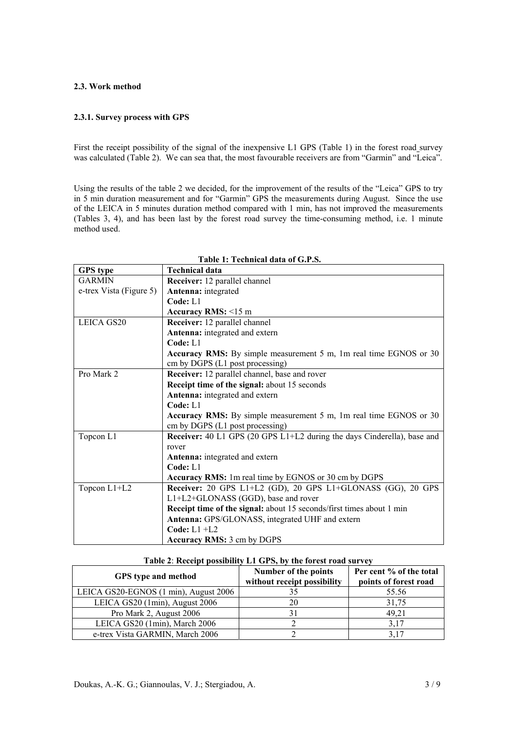## **2.3. Work method**

# **2.3.1. Survey process with GPS**

First the receipt possibility of the signal of the inexpensive L1 GPS (Table 1) in the forest road survey was calculated (Table 2). We can sea that, the most favourable receivers are from "Garmin" and "Leica".

Using the results of the table 2 we decided, for the improvement of the results of the "Leica" GPS to try in 5 min duration measurement and for "Garmin" GPS the measurements during August. Since the use of the LEICA in 5 minutes duration method compared with 1 min, has not improved the measurements (Tables 3, 4), and has been last by the forest road survey the time-consuming method, i.e. 1 minute method used.

**Table 1: Technical data of G.P.S.**

| <b>GPS</b> type         | <b>Technical data</b>                                                          |  |  |  |  |
|-------------------------|--------------------------------------------------------------------------------|--|--|--|--|
| <b>GARMIN</b>           | Receiver: 12 parallel channel                                                  |  |  |  |  |
| e-trex Vista (Figure 5) | Antenna: integrated                                                            |  |  |  |  |
|                         | Code: L1                                                                       |  |  |  |  |
|                         | Accuracy RMS: $\leq 15$ m                                                      |  |  |  |  |
| LEICA GS20              | Receiver: 12 parallel channel                                                  |  |  |  |  |
|                         | Antenna: integrated and extern                                                 |  |  |  |  |
|                         | Code: L1                                                                       |  |  |  |  |
|                         | <b>Accuracy RMS:</b> By simple measurement 5 m, 1m real time EGNOS or 30       |  |  |  |  |
|                         | cm by DGPS (L1 post processing)                                                |  |  |  |  |
| Pro Mark 2              | Receiver: 12 parallel channel, base and rover                                  |  |  |  |  |
|                         | Receipt time of the signal: about 15 seconds                                   |  |  |  |  |
|                         | Antenna: integrated and extern                                                 |  |  |  |  |
|                         | Code: L1                                                                       |  |  |  |  |
|                         | <b>Accuracy RMS:</b> By simple measurement 5 m, 1m real time EGNOS or 30       |  |  |  |  |
|                         | cm by DGPS (L1 post processing)                                                |  |  |  |  |
| Topcon L1               | <b>Receiver:</b> 40 L1 GPS (20 GPS L1+L2 during the days Cinderella), base and |  |  |  |  |
|                         | rover                                                                          |  |  |  |  |
|                         | Antenna: integrated and extern                                                 |  |  |  |  |
|                         | Code: L1                                                                       |  |  |  |  |
|                         | <b>Accuracy RMS:</b> 1m real time by EGNOS or 30 cm by DGPS                    |  |  |  |  |
| Topcon L1+L2            | Receiver: 20 GPS L1+L2 (GD), 20 GPS L1+GLONASS (GG), 20 GPS                    |  |  |  |  |
|                         | L1+L2+GLONASS (GGD), base and rover                                            |  |  |  |  |
|                         | Receipt time of the signal: about 15 seconds/first times about 1 min           |  |  |  |  |
|                         | Antenna: GPS/GLONASS, integrated UHF and extern                                |  |  |  |  |
|                         | Code: $L1 + L2$                                                                |  |  |  |  |
|                         | <b>Accuracy RMS: 3 cm by DGPS</b>                                              |  |  |  |  |

| Table 2: Receipt possibility L1 GPS, by the forest road survey |                                                     |                                                  |  |  |  |  |
|----------------------------------------------------------------|-----------------------------------------------------|--------------------------------------------------|--|--|--|--|
| <b>GPS</b> type and method                                     | Number of the points<br>without receipt possibility | Per cent % of the total<br>points of forest road |  |  |  |  |
| LEICA GS20-EGNOS (1 min), August 2006                          | 35                                                  | 55.56                                            |  |  |  |  |
| LEICA GS20 (1min), August 2006                                 | 20                                                  | 31.75                                            |  |  |  |  |
| Pro Mark 2, August 2006                                        | 31                                                  | 49.21                                            |  |  |  |  |
| LEICA GS20 (1min), March 2006                                  |                                                     | 3,17                                             |  |  |  |  |
| e-trex Vista GARMIN, March 2006                                |                                                     | 3.17                                             |  |  |  |  |

#### **Table 2**: **Receipt possibility L1 GPS, by the forest road survey**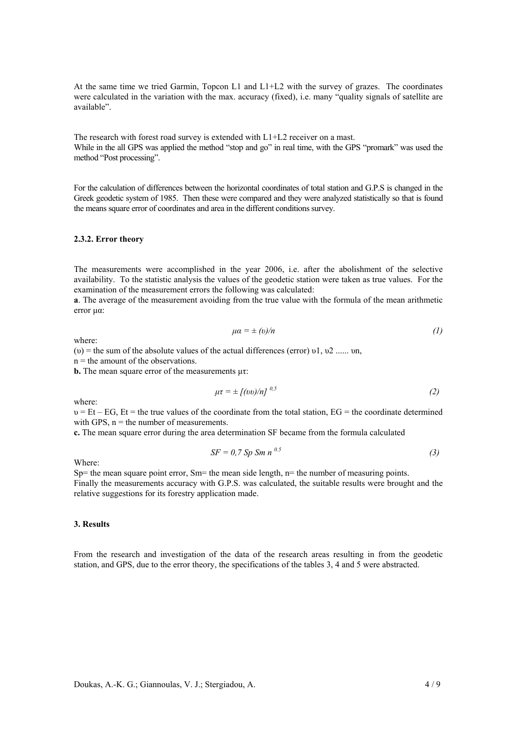At the same time we tried Garmin, Topcon L1 and L1+L2 with the survey of grazes. The coordinates were calculated in the variation with the max. accuracy (fixed), i.e. many "quality signals of satellite are available".

The research with forest road survey is extended with L1+L2 receiver on a mast. While in the all GPS was applied the method "stop and go" in real time, with the GPS "promark" was used the method "Post processing".

For the calculation of differences between the horizontal coordinates of total station and G.P.S is changed in the Greek geodetic system of 1985. Then these were compared and they were analyzed statistically so that is found the means square error of coordinates and area in the different conditions survey.

#### **2.3.2. Error theory**

The measurements were accomplished in the year 2006, i.e. after the abolishment of the selective availability. To the statistic analysis the values of the geodetic station were taken as true values. For the examination of the measurement errors the following was calculated:

**a**. The average of the measurement avoiding from the true value with the formula of the mean arithmetic error μα:

$$
\mu \alpha = \pm \left( v \right) / n \tag{1}
$$

where:

(v) = the sum of the absolute values of the actual differences (error)  $v_1$ ,  $v_2$ , ...,  $v_n$ 

 $n =$  the amount of the observations.

**b.** The mean square error of the measurements μτ:

$$
\mu \tau = \pm \left[ \frac{\partial v}{\partial n} \right]^{0.5} \tag{2}
$$

where:

 $v = Et - EG$ ,  $Et$  = the true values of the coordinate from the total station,  $EG$  = the coordinate determined with GPS,  $n =$  the number of measurements.

**c.** The mean square error during the area determination SF became from the formula calculated

$$
SF = 0.7 Sp Sm n^{0.5}
$$
 (3)

Where:

Sp= the mean square point error, Sm= the mean side length,  $n=$  the number of measuring points. Finally the measurements accuracy with G.P.S. was calculated, the suitable results were brought and the relative suggestions for its forestry application made.

#### **3. Results**

From the research and investigation of the data of the research areas resulting in from the geodetic station, and GPS, due to the error theory, the specifications of the tables 3, 4 and 5 were abstracted.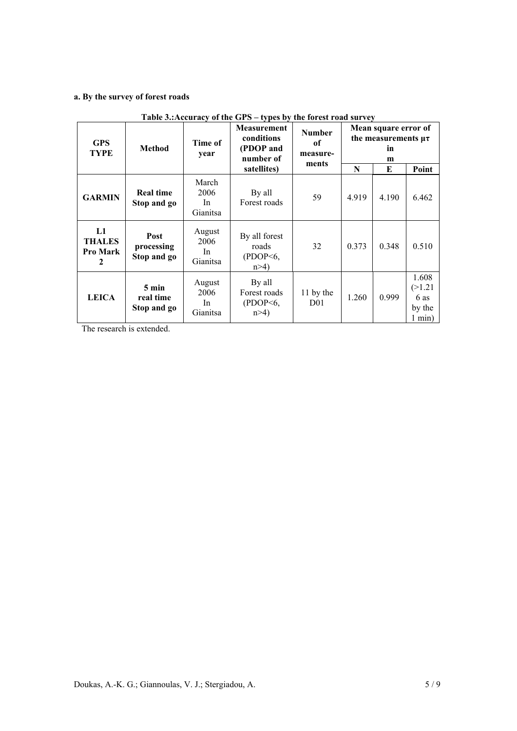# **a. By the survey of forest roads**

| rabic bilitecaracy or the Sr B<br>$\mathbf{v}$ pes by the forest road survey |                                             |                                  |                                                            |                                          |                                                               |       |                                                   |  |
|------------------------------------------------------------------------------|---------------------------------------------|----------------------------------|------------------------------------------------------------|------------------------------------------|---------------------------------------------------------------|-------|---------------------------------------------------|--|
| <b>GPS</b><br><b>TYPE</b>                                                    | <b>Method</b>                               | Time of<br>year                  | <b>Measurement</b><br>conditions<br>(PDOP and<br>number of | <b>Number</b><br>of<br>measure-<br>ments | Mean square error of<br>the measurements $\mu\tau$<br>in<br>m |       |                                                   |  |
|                                                                              |                                             |                                  | satellites)                                                |                                          | N                                                             | E     | Point                                             |  |
| <b>GARMIN</b>                                                                | <b>Real time</b><br>Stop and go             | March<br>2006<br>In.<br>Gianitsa | By all<br>Forest roads                                     | 59                                       | 4.919                                                         | 4.190 | 6.462                                             |  |
| L1<br><b>THALES</b><br><b>Pro Mark</b><br>2                                  | Post<br>processing<br>Stop and go           | August<br>2006<br>In<br>Gianitsa | By all forest<br>roads<br>( PDOP <sub>6</sub> ,<br>n > 4   | 32                                       | 0.373                                                         | 0.348 | 0.510                                             |  |
| <b>LEICA</b>                                                                 | $5 \text{ min}$<br>real time<br>Stop and go | August<br>2006<br>In<br>Gianitsa | By all<br>Forest roads<br>$($ PDOP<6,<br>$n > 4$ )         | 11 by the<br>D <sub>0</sub> 1            | 1.260                                                         | 0.999 | 1.608<br>(>1.21)<br>6 as<br>by the<br>$1$ min $)$ |  |

# **Table 3.:Accuracy of the GPS – types by the forest road survey**

The research is extended.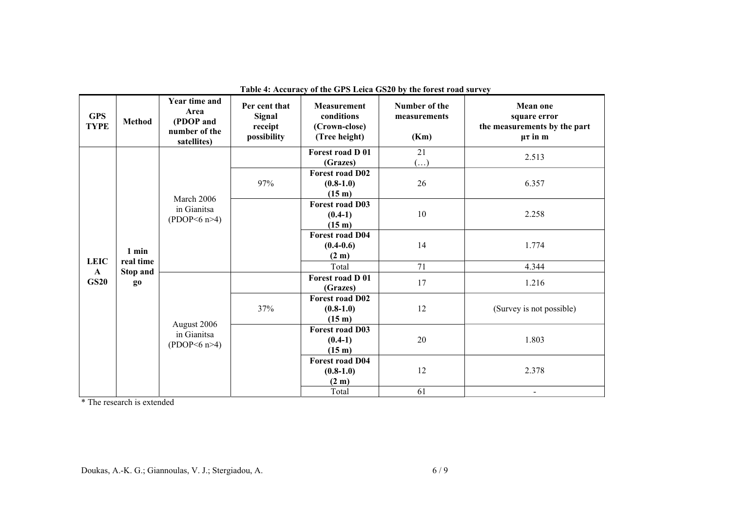| <b>GPS</b><br><b>TYPE</b> | Method                | <b>Year time and</b><br>Area<br>(PDOP and<br>number of the<br>satellites) | Per cent that<br><b>Signal</b><br>receipt<br>possibility | <b>Measurement</b><br>conditions<br>(Crown-close)<br>(Tree height) | Number of the<br>measurements<br>(Km) | <b>Mean one</b><br>square error<br>the measurements by the part<br>$\mu\tau$ in m |
|---------------------------|-----------------------|---------------------------------------------------------------------------|----------------------------------------------------------|--------------------------------------------------------------------|---------------------------------------|-----------------------------------------------------------------------------------|
|                           |                       |                                                                           |                                                          | Forest road D 01<br>(Grazes)                                       | 21<br>$(\ldots)$                      | 2.513                                                                             |
|                           |                       | March 2006<br>in Gianitsa<br>(PDOP<6 n>4)                                 | 97%                                                      | <b>Forest road D02</b><br>$(0.8-1.0)$<br>$(15 \; \text{m})$        | 26                                    | 6.357                                                                             |
|                           |                       |                                                                           |                                                          | <b>Forest road D03</b><br>$(0.4-1)$<br>(15 <sub>m</sub> )          | 10                                    | 2.258                                                                             |
|                           | 1 min                 |                                                                           |                                                          | <b>Forest road D04</b><br>$(0.4-0.6)$<br>(2 m)                     | 14                                    | 1.774                                                                             |
| <b>LEIC</b>               | real time             |                                                                           |                                                          | Total                                                              | 71                                    | 4.344                                                                             |
| $\mathbf{A}$<br>GS20      | <b>Stop and</b><br>go |                                                                           |                                                          | Forest road D 01<br>(Grazes)                                       | 17                                    | 1.216                                                                             |
|                           |                       | August 2006<br>in Gianitsa<br>(PDOP<6 n>4)                                | 37%                                                      | <b>Forest road D02</b><br>$(0.8-1.0)$<br>(15 m)                    | 12                                    | (Survey is not possible)                                                          |
|                           |                       |                                                                           |                                                          | <b>Forest road D03</b><br>$(0.4-1)$<br>(15 m)                      | 20                                    | 1.803                                                                             |
|                           |                       |                                                                           | <b>Forest road D04</b><br>$(0.8-1.0)$<br>(2 m)           | 12                                                                 | 2.378                                 |                                                                                   |
|                           |                       |                                                                           |                                                          | Total                                                              | 61                                    | $\blacksquare$                                                                    |

**Table 4: Accuracy of the GPS Leica GS20 by the forest road survey** 

\* The research is extended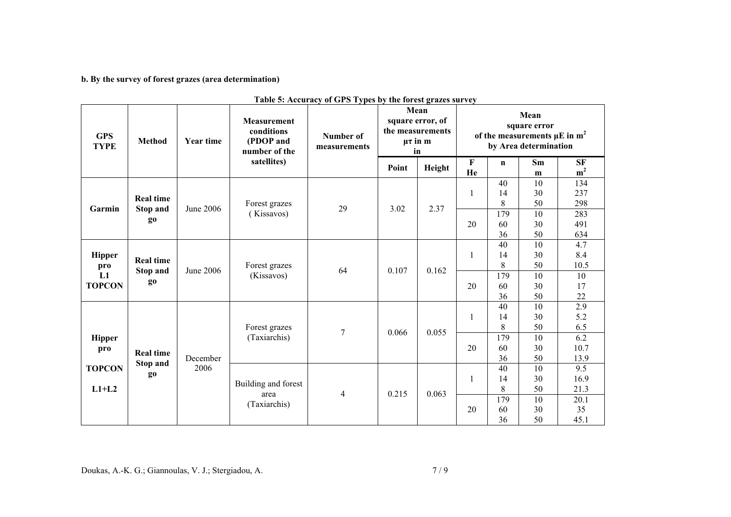**b. By the survey of forest grazes (area determination)** 

| <b>GPS</b><br><b>TYPE</b>                                                              | <b>Method</b>                                         | <b>Year time</b> | <b>Measurement</b><br>conditions<br>(PDOP and<br>number of the<br>satellites) | Number of<br>measurements | radio of recuracy or Group rypes by the forest grazes survey<br>Mean<br>square error, of<br>the measurements<br>$\mu\tau$ in m<br>in |        | Mean<br>square error<br>of the measurements $\mu$ E in m <sup>2</sup><br>by Area determination |                          |                      |                                 |
|----------------------------------------------------------------------------------------|-------------------------------------------------------|------------------|-------------------------------------------------------------------------------|---------------------------|--------------------------------------------------------------------------------------------------------------------------------------|--------|------------------------------------------------------------------------------------------------|--------------------------|----------------------|---------------------------------|
|                                                                                        |                                                       |                  |                                                                               |                           | Point                                                                                                                                | Height | $\mathbf F$<br>He                                                                              | $\mathbf n$              | Sm<br>m              | ${\rm\bf SF}$<br>m <sup>2</sup> |
| Garmin                                                                                 | <b>Real time</b><br>Stop and                          | June 2006        | Forest grazes                                                                 | 29                        | 3.02                                                                                                                                 | 2.37   | $\mathbf{1}$                                                                                   | 40<br>14<br>8            | 10<br>30<br>50       | 134<br>237<br>298               |
| go                                                                                     |                                                       | (Kissavos)       |                                                                               |                           |                                                                                                                                      | 20     | 179<br>60<br>36                                                                                | 10<br>30<br>50           | 283<br>491<br>634    |                                 |
| <b>Hipper</b><br>pro<br>L1                                                             | <b>Real time</b><br><b>Stop and</b><br>g <sub>0</sub> | June 2006        | Forest grazes<br>(Kissavos)                                                   | 64                        | 0.107                                                                                                                                | 0.162  | 1                                                                                              | 40<br>14<br>$8\,$<br>179 | 10<br>30<br>50<br>10 | 4.7<br>8.4<br>10.5<br>10        |
| <b>TOPCON</b>                                                                          |                                                       |                  |                                                                               |                           |                                                                                                                                      | 20     | 60<br>36                                                                                       | 30<br>50                 | 17<br>22             |                                 |
|                                                                                        |                                                       |                  | Forest grazes                                                                 | $\overline{7}$            | 0.066                                                                                                                                | 0.055  | $\mathbf{1}$                                                                                   | 40<br>14<br>8            | 10<br>30<br>50       | $\overline{2.9}$<br>5.2<br>6.5  |
| <b>Hipper</b><br>pro<br><b>Real time</b><br>Stop and<br><b>TOPCON</b><br>go<br>$L1+L2$ | December                                              | (Taxiarchis)     |                                                                               |                           |                                                                                                                                      | 20     | 179<br>60<br>36                                                                                | 10<br>30<br>50           | 6.2<br>10.7<br>13.9  |                                 |
|                                                                                        |                                                       | 2006             | Building and forest<br>area<br>(Taxiarchis)                                   | $\overline{4}$            | 0.215                                                                                                                                | 0.063  | $\mathbf{1}$                                                                                   | 40<br>14<br>8            | 10<br>30<br>50       | 9.5<br>16.9<br>21.3             |
|                                                                                        |                                                       |                  |                                                                               |                           |                                                                                                                                      |        | 20                                                                                             | 179<br>60<br>36          | 10<br>30<br>50       | 20.1<br>35<br>45.1              |

| Table 5: Accuracy of GPS Types by the forest grazes survey |  |  |
|------------------------------------------------------------|--|--|
|------------------------------------------------------------|--|--|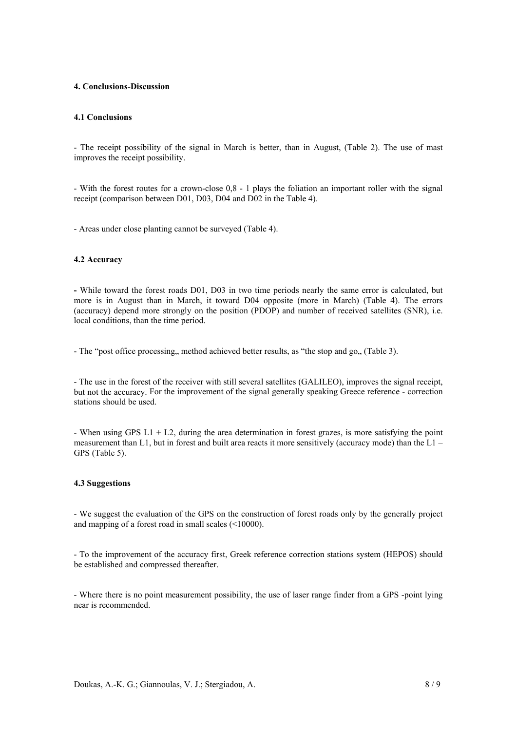#### **4. Conclusions-Discussion**

#### **4.1 Conclusions**

- The receipt possibility of the signal in March is better, than in August, (Table 2). The use of mast improves the receipt possibility.

- With the forest routes for a crown-close 0,8 - 1 plays the foliation an important roller with the signal receipt (comparison between D01, D03, D04 and D02 in the Table 4).

- Areas under close planting cannot be surveyed (Table 4).

#### **4.2 Accuracy**

**-** While toward the forest roads D01, D03 in two time periods nearly the same error is calculated, but more is in August than in March, it toward D04 opposite (more in March) (Table 4). The errors (accuracy) depend more strongly on the position (PDOP) and number of received satellites (SNR), i.e. local conditions, than the time period.

- The "post office processing, method achieved better results, as "the stop and go,, (Table 3).

- The use in the forest of the receiver with still several satellites (GALILEO), improves the signal receipt, but not the accuracy. For the improvement of the signal generally speaking Greece reference - correction stations should be used.

- When using GPS  $L1 + L2$ , during the area determination in forest grazes, is more satisfying the point measurement than L1, but in forest and built area reacts it more sensitively (accuracy mode) than the  $L1 -$ GPS (Table 5).

### **4.3 Suggestions**

- We suggest the evaluation of the GPS on the construction of forest roads only by the generally project and mapping of a forest road in small scales (<10000).

- To the improvement of the accuracy first, Greek reference correction stations system (HEPOS) should be established and compressed thereafter.

- Where there is no point measurement possibility, the use of laser range finder from a GPS -point lying near is recommended.